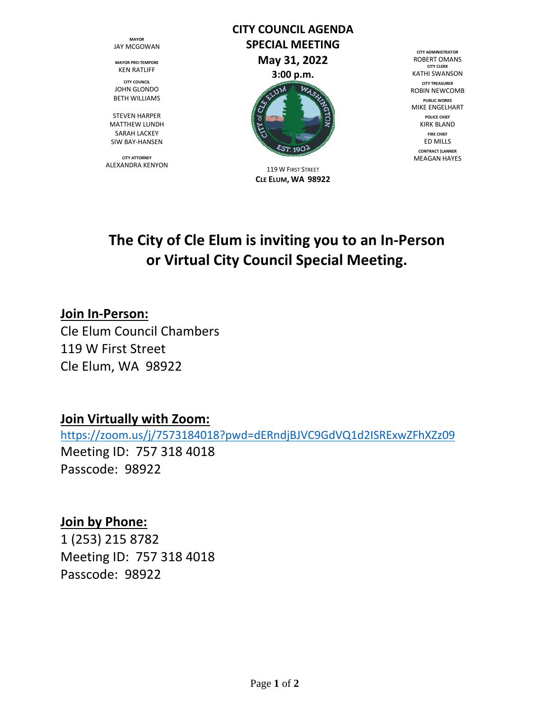**MAYOR** JAY MCGOWAN

**MAYOR PRO-TEMPORE** KEN RATLIFF

**CITY COUNCIL** JOHN GLONDO BETH WILLIAMS

STEVEN HARPER MATTHEW LUNDH SARAH LACKEY SIW BAY-HANSEN

**CITY ATTORNEY** ALEXANDRA KENYON

# **CITY COUNCIL AGENDA SPECIAL MEETING May 31, 2022 3:00 p.m.**



119 W FIRST STREET **CLE ELUM, WA 98922**

**CITY ADMINISTRATOR** ROBERT OMANS **CITY CLERK** KATHI SWANSON **CITY TREASURER** ROBIN NEWCOMB **PUBLIC WORKS** MIKE ENGELHART **POLICE CHIEF** KIRK BLAND **FIRE CHIEF** ED MILLS **CONTRACT {LANNER** MEAGAN HAYES

## **The City of Cle Elum is inviting you to an In-Person or Virtual City Council Special Meeting.**

## **Join In-Person:**

Cle Elum Council Chambers 119 W First Street Cle Elum, WA 98922

## **Join Virtually with Zoom:**

[https://zoom.us/j/7573184018?pwd=dERndjBJVC9GdVQ1d2ISRExwZFhXZz09](https://zoom.us/j/7573184018?pwd=dERndjBJVC9GdVQ1d2ISRExwZFhZa09) Meeting ID: 757 318 4018 Passcode: 98922

## **Join by Phone:**

1 (253) 215 8782 Meeting ID: 757 318 4018 Passcode: 98922